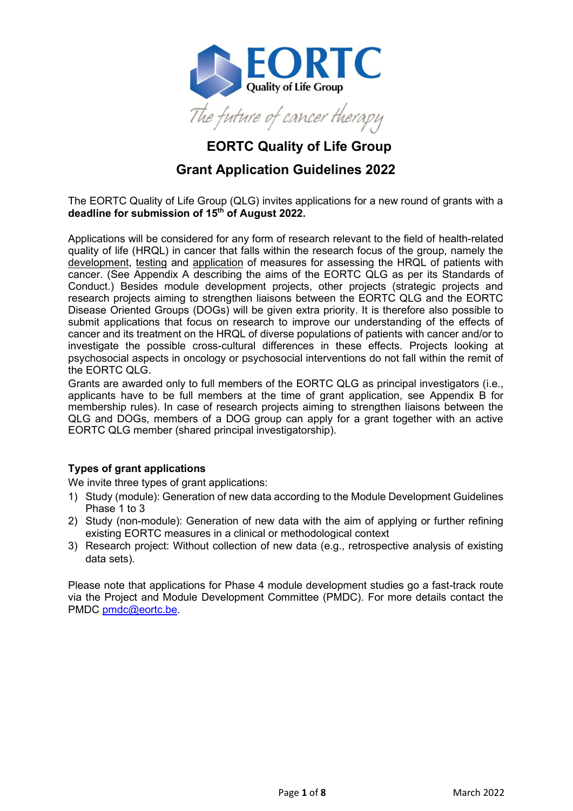

# **EORTC Quality of Life Group**

# **Grant Application Guidelines 2022**

The EORTC Quality of Life Group (QLG) invites applications for a new round of grants with a **deadline for submission of 15th of August 2022.**

Applications will be considered for any form of research relevant to the field of health-related quality of life (HRQL) in cancer that falls within the research focus of the group, namely the development, testing and application of measures for assessing the HRQL of patients with cancer. (See Appendix A describing the aims of the EORTC QLG as per its Standards of Conduct.) Besides module development projects, other projects (strategic projects and research projects aiming to strengthen liaisons between the EORTC QLG and the EORTC Disease Oriented Groups (DOGs) will be given extra priority. It is therefore also possible to submit applications that focus on research to improve our understanding of the effects of cancer and its treatment on the HRQL of diverse populations of patients with cancer and/or to investigate the possible cross-cultural differences in these effects. Projects looking at psychosocial aspects in oncology or psychosocial interventions do not fall within the remit of the EORTC QLG.

Grants are awarded only to full members of the EORTC QLG as principal investigators (i.e., applicants have to be full members at the time of grant application, see Appendix B for membership rules). In case of research projects aiming to strengthen liaisons between the QLG and DOGs, members of a DOG group can apply for a grant together with an active EORTC QLG member (shared principal investigatorship).

# **Types of grant applications**

We invite three types of grant applications:

- 1) Study (module): Generation of new data according to the Module Development Guidelines Phase 1 to 3
- 2) Study (non-module): Generation of new data with the aim of applying or further refining existing EORTC measures in a clinical or methodological context
- 3) Research project: Without collection of new data (e.g., retrospective analysis of existing data sets).

Please note that applications for Phase 4 module development studies go a fast-track route via the Project and Module Development Committee (PMDC). For more details contact the PMDC [pmdc@eortc.be.](mailto:pmdc@eortc.be)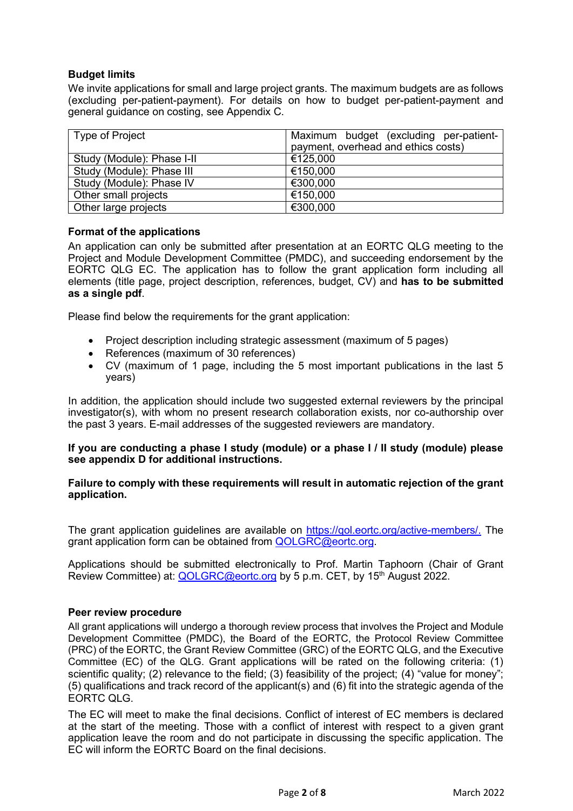# **Budget limits**

We invite applications for small and large project grants. The maximum budgets are as follows (excluding per-patient-payment). For details on how to budget per-patient-payment and general guidance on costing, see Appendix C.

| Type of Project            | Maximum budget (excluding per-patient- |
|----------------------------|----------------------------------------|
|                            | payment, overhead and ethics costs)    |
| Study (Module): Phase I-II | €125,000                               |
| Study (Module): Phase III  | €150,000                               |
| Study (Module): Phase IV   | €300,000                               |
| Other small projects       | €150,000                               |
| Other large projects       | €300,000                               |

# **Format of the applications**

An application can only be submitted after presentation at an EORTC QLG meeting to the Project and Module Development Committee (PMDC), and succeeding endorsement by the EORTC QLG EC. The application has to follow the grant application form including all elements (title page, project description, references, budget, CV) and **has to be submitted as a single pdf**.

Please find below the requirements for the grant application:

- Project description including strategic assessment (maximum of 5 pages)
- References (maximum of 30 references)
- CV (maximum of 1 page, including the 5 most important publications in the last 5 years)

In addition, the application should include two suggested external reviewers by the principal investigator(s), with whom no present research collaboration exists, nor co-authorship over the past 3 years. E-mail addresses of the suggested reviewers are mandatory.

#### **If you are conducting a phase I study (module) or a phase I / II study (module) please see appendix D for additional instructions.**

#### **Failure to comply with these requirements will result in automatic rejection of the grant application.**

The grant application guidelines are available on [https://qol.eortc.org/active-members/.](https://qol.eortc.org/active-members/) The grant application form can be obtained from **QOLGRC@eortc.org.** 

Applications should be submitted electronically to Prof. Martin Taphoorn (Chair of Grant Review Committee) at: [QOLGRC@eortc.org](mailto:QOLGRC@eortc.org) by 5 p.m. CET, by 15<sup>th</sup> August 2022.

#### **Peer review procedure**

All grant applications will undergo a thorough review process that involves the Project and Module Development Committee (PMDC), the Board of the EORTC, the Protocol Review Committee (PRC) of the EORTC, the Grant Review Committee (GRC) of the EORTC QLG, and the Executive Committee (EC) of the QLG. Grant applications will be rated on the following criteria: (1) scientific quality; (2) relevance to the field; (3) feasibility of the project; (4) "value for money"; (5) qualifications and track record of the applicant(s) and (6) fit into the strategic agenda of the EORTC QLG.

The EC will meet to make the final decisions. Conflict of interest of EC members is declared at the start of the meeting. Those with a conflict of interest with respect to a given grant application leave the room and do not participate in discussing the specific application. The EC will inform the EORTC Board on the final decisions.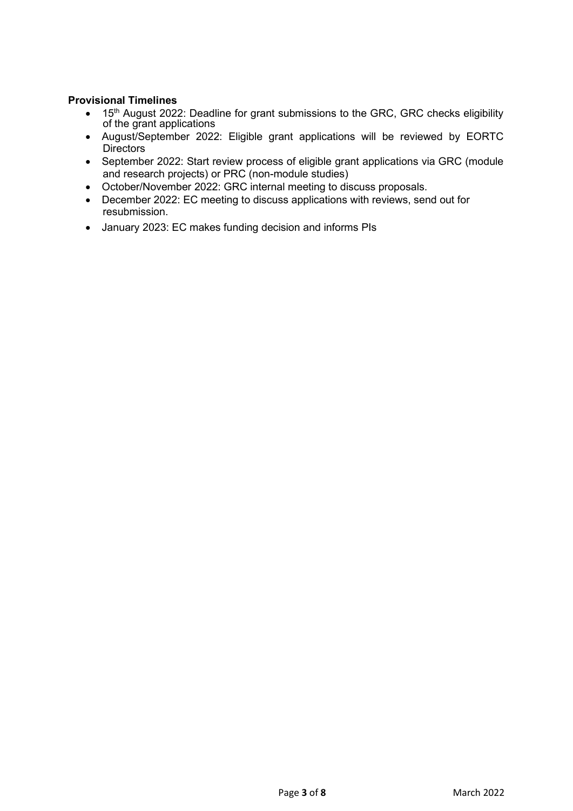# **Provisional Timelines**

- 15<sup>th</sup> August 2022: Deadline for grant submissions to the GRC, GRC checks eligibility of the grant applications
- August/September 2022: Eligible grant applications will be reviewed by EORTC **Directors**
- September 2022: Start review process of eligible grant applications via GRC (module and research projects) or PRC (non-module studies)
- October/November 2022: GRC internal meeting to discuss proposals.
- December 2022: EC meeting to discuss applications with reviews, send out for resubmission.
- January 2023: EC makes funding decision and informs PIs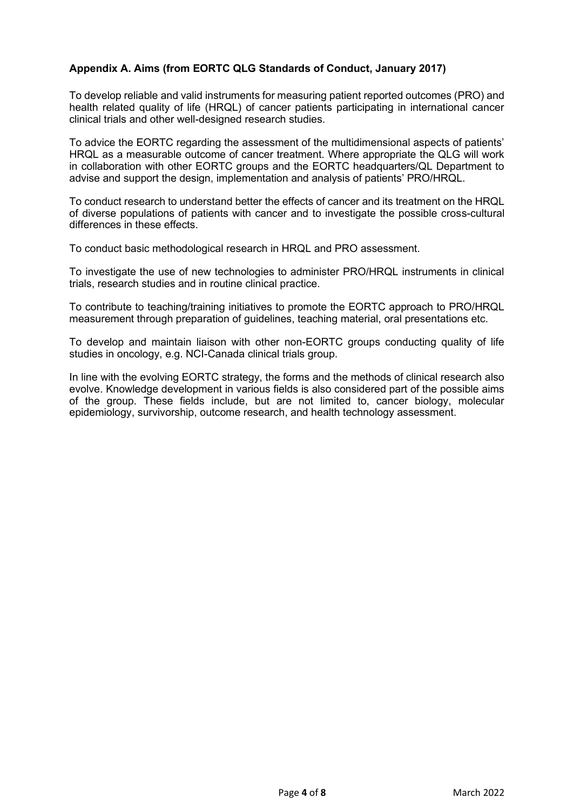# **Appendix A. Aims (from EORTC QLG Standards of Conduct, January 2017)**

To develop reliable and valid instruments for measuring patient reported outcomes (PRO) and health related quality of life (HRQL) of cancer patients participating in international cancer clinical trials and other well-designed research studies.

To advice the EORTC regarding the assessment of the multidimensional aspects of patients' HRQL as a measurable outcome of cancer treatment. Where appropriate the QLG will work in collaboration with other EORTC groups and the EORTC headquarters/QL Department to advise and support the design, implementation and analysis of patients' PRO/HRQL.

To conduct research to understand better the effects of cancer and its treatment on the HRQL of diverse populations of patients with cancer and to investigate the possible cross-cultural differences in these effects.

To conduct basic methodological research in HRQL and PRO assessment.

To investigate the use of new technologies to administer PRO/HRQL instruments in clinical trials, research studies and in routine clinical practice.

To contribute to teaching/training initiatives to promote the EORTC approach to PRO/HRQL measurement through preparation of guidelines, teaching material, oral presentations etc.

To develop and maintain liaison with other non-EORTC groups conducting quality of life studies in oncology, e.g. NCI-Canada clinical trials group.

In line with the evolving EORTC strategy, the forms and the methods of clinical research also evolve. Knowledge development in various fields is also considered part of the possible aims of the group. These fields include, but are not limited to, cancer biology, molecular epidemiology, survivorship, outcome research, and health technology assessment.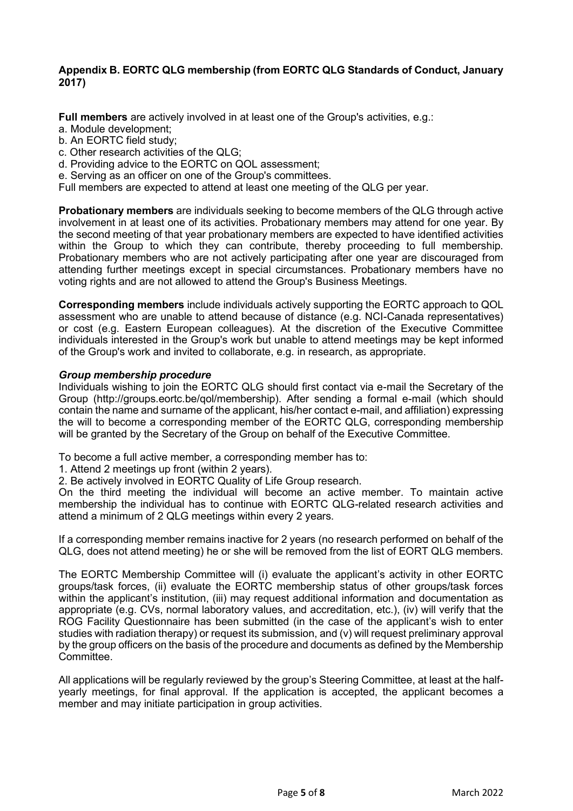### **Appendix B. EORTC QLG membership (from EORTC QLG Standards of Conduct, January 2017)**

**Full members** are actively involved in at least one of the Group's activities, e.g.:

- a. Module development;
- b. An EORTC field study;
- c. Other research activities of the QLG;
- d. Providing advice to the EORTC on QOL assessment;
- e. Serving as an officer on one of the Group's committees.
- Full members are expected to attend at least one meeting of the QLG per year.

**Probationary members** are individuals seeking to become members of the QLG through active involvement in at least one of its activities. Probationary members may attend for one year. By the second meeting of that year probationary members are expected to have identified activities within the Group to which they can contribute, thereby proceeding to full membership. Probationary members who are not actively participating after one year are discouraged from attending further meetings except in special circumstances. Probationary members have no voting rights and are not allowed to attend the Group's Business Meetings.

**Corresponding members** include individuals actively supporting the EORTC approach to QOL assessment who are unable to attend because of distance (e.g. NCI-Canada representatives) or cost (e.g. Eastern European colleagues). At the discretion of the Executive Committee individuals interested in the Group's work but unable to attend meetings may be kept informed of the Group's work and invited to collaborate, e.g. in research, as appropriate.

#### *Group membership procedure*

Individuals wishing to join the EORTC QLG should first contact via e-mail the Secretary of the Group (http://groups.eortc.be/qol/membership). After sending a formal e-mail (which should contain the name and surname of the applicant, his/her contact e-mail, and affiliation) expressing the will to become a corresponding member of the EORTC QLG, corresponding membership will be granted by the Secretary of the Group on behalf of the Executive Committee.

To become a full active member, a corresponding member has to:

- 1. Attend 2 meetings up front (within 2 years).
- 2. Be actively involved in EORTC Quality of Life Group research.

On the third meeting the individual will become an active member. To maintain active membership the individual has to continue with EORTC QLG-related research activities and attend a minimum of 2 QLG meetings within every 2 years.

If a corresponding member remains inactive for 2 years (no research performed on behalf of the QLG, does not attend meeting) he or she will be removed from the list of EORT QLG members.

The EORTC Membership Committee will (i) evaluate the applicant's activity in other EORTC groups/task forces, (ii) evaluate the EORTC membership status of other groups/task forces within the applicant's institution, (iii) may request additional information and documentation as appropriate (e.g. CVs, normal laboratory values, and accreditation, etc.), (iv) will verify that the ROG Facility Questionnaire has been submitted (in the case of the applicant's wish to enter studies with radiation therapy) or request its submission, and (v) will request preliminary approval by the group officers on the basis of the procedure and documents as defined by the Membership Committee.

All applications will be regularly reviewed by the group's Steering Committee, at least at the halfyearly meetings, for final approval. If the application is accepted, the applicant becomes a member and may initiate participation in group activities.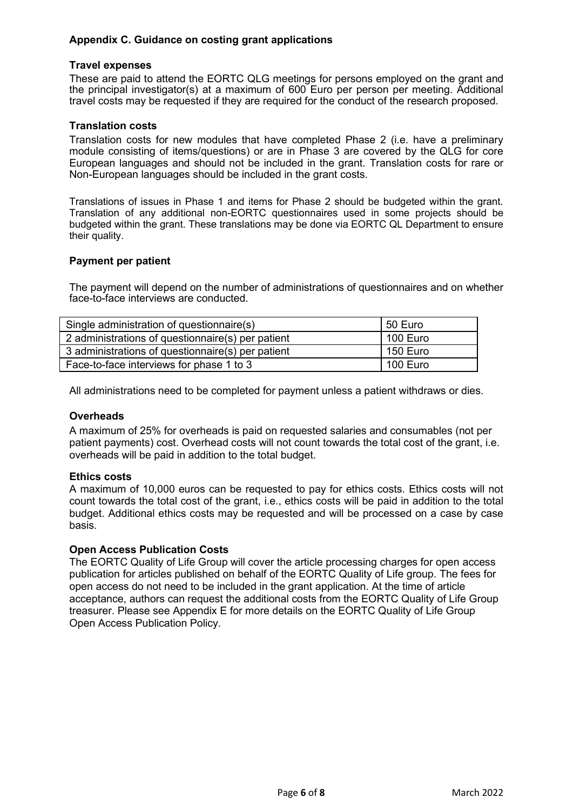# **Appendix C. Guidance on costing grant applications**

#### **Travel expenses**

These are paid to attend the EORTC QLG meetings for persons employed on the grant and the principal investigator(s) at a maximum of 600 Euro per person per meeting. Additional travel costs may be requested if they are required for the conduct of the research proposed.

### **Translation costs**

Translation costs for new modules that have completed Phase 2 (i.e. have a preliminary module consisting of items/questions) or are in Phase 3 are covered by the QLG for core European languages and should not be included in the grant. Translation costs for rare or Non-European languages should be included in the grant costs.

Translations of issues in Phase 1 and items for Phase 2 should be budgeted within the grant. Translation of any additional non-EORTC questionnaires used in some projects should be budgeted within the grant. These translations may be done via EORTC QL Department to ensure their quality.

#### **Payment per patient**

The payment will depend on the number of administrations of questionnaires and on whether face-to-face interviews are conducted.

| Single administration of questionnaire(s)         | 50 Euro  |
|---------------------------------------------------|----------|
| 2 administrations of questionnaire(s) per patient | 100 Euro |
| 3 administrations of questionnaire(s) per patient | 150 Euro |
| Face-to-face interviews for phase 1 to 3          | 100 Euro |

All administrations need to be completed for payment unless a patient withdraws or dies.

# **Overheads**

A maximum of 25% for overheads is paid on requested salaries and consumables (not per patient payments) cost. Overhead costs will not count towards the total cost of the grant, i.e. overheads will be paid in addition to the total budget.

#### **Ethics costs**

A maximum of 10,000 euros can be requested to pay for ethics costs. Ethics costs will not count towards the total cost of the grant, i.e., ethics costs will be paid in addition to the total budget. Additional ethics costs may be requested and will be processed on a case by case basis.

#### **Open Access Publication Costs**

The EORTC Quality of Life Group will cover the article processing charges for open access publication for articles published on behalf of the EORTC Quality of Life group. The fees for open access do not need to be included in the grant application. At the time of article acceptance, authors can request the additional costs from the EORTC Quality of Life Group treasurer. Please see Appendix E for more details on the EORTC Quality of Life Group Open Access Publication Policy.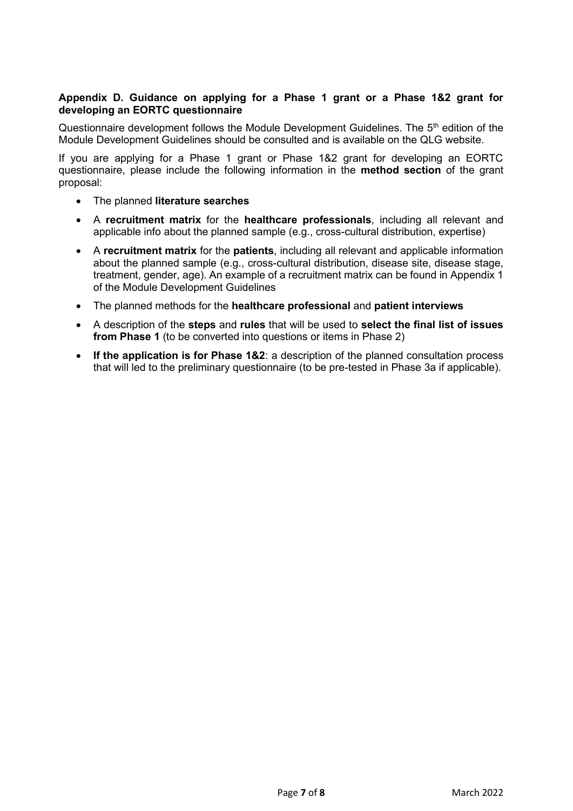# **Appendix D. Guidance on applying for a Phase 1 grant or a Phase 1&2 grant for developing an EORTC questionnaire**

Questionnaire development follows the Module Development Guidelines. The 5<sup>th</sup> edition of the Module Development Guidelines should be consulted and is available on the QLG website.

If you are applying for a Phase 1 grant or Phase 1&2 grant for developing an EORTC questionnaire, please include the following information in the **method section** of the grant proposal:

- The planned **literature searches**
- A **recruitment matrix** for the **healthcare professionals**, including all relevant and applicable info about the planned sample (e.g., cross-cultural distribution, expertise)
- A **recruitment matrix** for the **patients**, including all relevant and applicable information about the planned sample (e.g., cross-cultural distribution, disease site, disease stage, treatment, gender, age). An example of a recruitment matrix can be found in Appendix 1 of the Module Development Guidelines
- The planned methods for the **healthcare professional** and **patient interviews**
- A description of the **steps** and **rules** that will be used to **select the final list of issues from Phase 1** (to be converted into questions or items in Phase 2)
- **If the application is for Phase 1&2**: a description of the planned consultation process that will led to the preliminary questionnaire (to be pre-tested in Phase 3a if applicable).